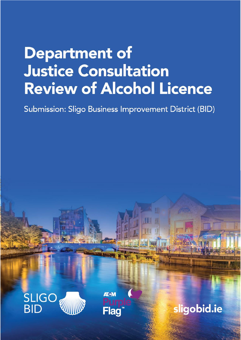# **Department of Justice Consultation** Review of Alcohol Licence

Submission: Sligo Business Improvement District (BID)





sligobid.ie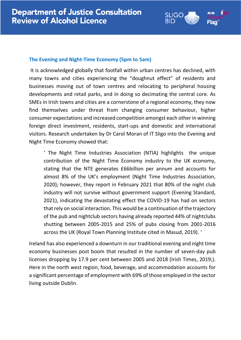

# **The Evening and Night-Time Economy (5pm to 5am)**

It is acknowledged globally that footfall within urban centres has declined, with many towns and cities experiencing the "doughnut effect" of residents and businesses moving out of town centres and relocating to peripheral housing developments and retail parks, and in doing so decimating the central core. As SMEs in Irish towns and cities are a cornerstone of a regional economy, they now find themselves under threat from changing consumer behaviour, higher consumer expectations and increased competition amongst each other in winning foreign direct investment, residents, start-ups and domestic and international visitors. Research undertaken by Dr Carol Moran of IT Sligo into the Evening and Night Time Economy showed that:

' The Night Time Industries Association (NTIA) highlights the unique contribution of the Night Time Economy industry to the UK economy, stating that the NTE generates £66billion per annum and accounts for almost 8% of the UK's employment (Night Time Industries Association, 2020); however, they report in February 2021 that 80% of the night club industry will not survive without government support (Evening Standard, 2021), indicating the devastating effect the COVID-19 has had on sectors that rely on social interaction. This would be a continuation of the trajectory of the pub and nightclub sectors having already reported 44% of nightclubs shutting between 2005-2015 and 25% of pubs closing from 2001-2016 across the UK (Royal Town Planning Institute cited in Masud, 2019). '

Ireland has also experienced a downturn in our traditional evening and night time economy businesses post boom that resulted in the number of seven-day pub licenses dropping by 17.9 per cent between 2005 and 2018 (Irish Times, 2019;). Here in the north west region, food, beverage, and accommodation accounts for a significant percentage of employment with 69% of those employed in the sector living outside Dublin.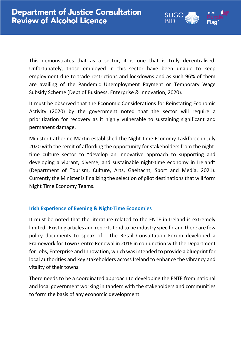This demonstrates that as a sector, it is one that is truly decentralised. Unfortunately, those employed in this sector have been unable to keep employment due to trade restrictions and lockdowns and as such 96% of them are availing of the Pandemic Unemployment Payment or Temporary Wage Subsidy Scheme (Dept of Business, Enterprise & Innovation, 2020).

.IGC

Flad

It must be observed that the Economic Considerations for Reinstating Economic Activity (2020) by the government noted that the sector will require a prioritization for recovery as it highly vulnerable to sustaining significant and permanent damage.

Minister Catherine Martin established the Night-time Economy Taskforce in July 2020 with the remit of affording the opportunity for stakeholders from the nighttime culture sector to "develop an innovative approach to supporting and developing a vibrant, diverse, and sustainable night-time economy in Ireland" (Department of Tourism, Culture, Arts, Gaeltacht, Sport and Media, 2021). Currently the Minister is finalizing the selection of pilot destinations that will form Night Time Economy Teams.

# **Irish Experience of Evening & Night-Time Economies**

It must be noted that the literature related to the ENTE in Ireland is extremely limited. Existing articles and reports tend to be industry specific and there are few policy documents to speak of. The Retail Consultation Forum developed a Framework for Town Centre Renewal in 2016 in conjunction with the Department for Jobs, Enterprise and Innovation, which was intended to provide a blueprint for local authorities and key stakeholders across Ireland to enhance the vibrancy and vitality of their towns

There needs to be a coordinated approach to developing the ENTE from national and local government working in tandem with the stakeholders and communities to form the basis of any economic development.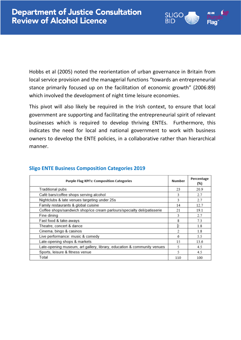Hobbs et al (2005) noted the reorientation of urban governance in Britain from local service provision and the managerial functions "towards an entrepreneurial stance primarily focused up on the facilitation of economic growth" (2006:89) which involved the development of night time leisure economies.

SLIGO

Flad

RID

This pivot will also likely be required in the Irish context, to ensure that local government are supporting and facilitating the entrepreneurial spirit of relevant businesses which is required to develop thriving ENTEs. Furthermore, this indicates the need for local and national government to work with business owners to develop the ENTE policies, in a collaborative rather than hierarchical manner.

| <b>Purple Flag KPI's: Composition Categories</b>                        | <b>Number</b> | Percentage<br>(%) |
|-------------------------------------------------------------------------|---------------|-------------------|
| <b>Traditional pubs</b>                                                 | 23            | 20.9              |
| Café bars/coffee shops serving alcohol                                  | 3             | 2.7               |
| Nightclubs & late venues targeting under 25s                            | 3             | 2.7               |
| Family restaurants & global cuisine                                     | 14            | 12.7              |
| Coffee shops/sandwich shop/ice cream parlours/specialty deli/patisserie | 21            | 19.1              |
| Fine dining                                                             | 3             | 2.7               |
| Fast food & take-aways                                                  | 8             | 7.3               |
| Theatre, concert & dance                                                | b             | 1.8               |
| Cinema, bingo & casinos                                                 |               | 1.8               |
| Live performance: music & comedy                                        | 6             | 5.5               |
| Late-opening shops & markets                                            | 15            | 13.6              |
| Late-opening museum, art gallery, library, education & community venues | 5             | 4.5               |
| Sports, leisure & fitness venue                                         | 5             | 4.5               |
| Total                                                                   | 110           | 100               |

### **Sligo ENTE Business Composition Categories 2019**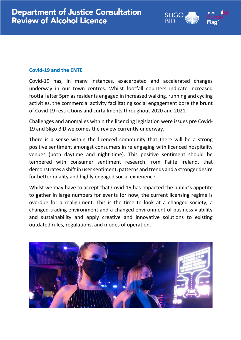# **Covid-19 and the ENTE**

Covid-19 has, in many instances, exacerbated and accelerated changes underway in our town centres. Whilst footfall counters indicate increased footfall after 5pm as residents engaged in increased walking, running and cycling activities, the commercial activity facilitating social engagement bore the brunt of Covid 19 restrictions and curtailments throughout 2020 and 2021.

SLIGC

Flac

Challenges and anomalies within the licencing legislation were issues pre Covid-19 and Sligo BID welcomes the review currently underway.

There is a sense within the licenced community that there will be a strong positive sentiment amongst consumers in re engaging with licenced hospitality venues (both daytime and night-time). This positive sentiment should be tempered with consumer sentiment research from Failte Ireland, that demonstrates a shift in user sentiment, patterns and trends and a stronger desire for better quality and highly engaged social experience.

Whilst we may have to accept that Covid-19 has impacted the public's appetite to gather in large numbers for events for now, the current licensing regime is overdue for a realignment. This is the time to look at a changed society, a changed trading environment and a changed environment of business viability and sustainability and apply creative and innovative solutions to existing outdated rules, regulations, and modes of operation.

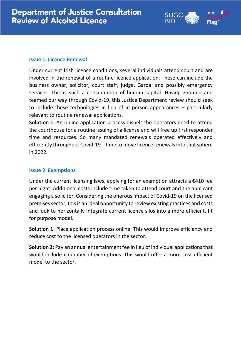## **Issue 1: Licence Renewal**

Under current Irish licence conditions, several individuals attend court and are involved in the renewal of a routine licence application. These can include the business owner, solicitor, court staff, judge, Gardai and possibly emergency services. This is such a consumption of human capital. Having zoomed and teamed our way through Covid-19, this Justice Department review should seek to include these technologies in lieu of in person appearances – particularly relevant to routine renewal applications.

LIGC

**Solution 1:** An online application process dispels the operators need to attend the courthouse for a routine issuing of a license and will free up first responder time and resources. So many mandated renewals operated effectively and efficiently throughput Covid-19 – time to move licence renewals into that sphere in 2022.

# **Issue 2**: **Exemptions**

Under the current licensing laws, applying for an exemption attracts a  $\epsilon$ 410 fee per night. Additional costs include time taken to attend court and the applicant engaging a solicitor. Considering the onerous impact of Covid-19 on the licensed premises sector, this is an ideal opportunity to review existing practices and costs and look to horizontally integrate current licence silos into a more efficient, fit for purpose model.

**Solution 1:** Place application process online. This would improve efficiency and reduce cost to the licensed operators in the sector.

**Solution 2:** Pay an annual entertainment fee in lieu of individual applications that would include x number of exemptions. This would offer a more cost-efficient model to the sector.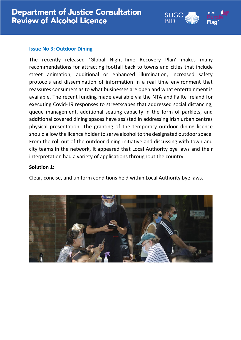#### **Issue No 3: Outdoor Dining**

The recently released 'Global Night-Time Recovery Plan' makes many recommendations for attracting footfall back to towns and cities that include street animation, additional or enhanced illumination, increased safety protocols and dissemination of information in a real time environment that reassures consumers as to what businesses are open and what entertainment is available. The recent funding made available via the NTA and Failte Ireland for executing Covid-19 responses to streetscapes that addressed social distancing, queue management, additional seating capacity in the form of parklets, and additional covered dining spaces have assisted in addressing Irish urban centres physical presentation. The granting of the temporary outdoor dining licence should allow the licence holder to serve alcohol to the designated outdoor space. From the roll out of the outdoor dining initiative and discussing with town and city teams in the network, it appeared that Local Authority bye laws and their interpretation had a variety of applications throughout the country.

SLIGC

Flac

## **Solution 1:**

Clear, concise, and uniform conditions held within Local Authority bye laws.

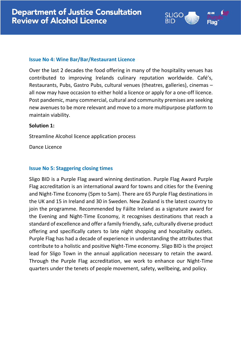### **Issue No 4: Wine Bar/Bar/Restaurant Licence**

Over the last 2 decades the food offering in many of the hospitality venues has contributed to improving Irelands culinary reputation worldwide. Café's, Restaurants, Pubs, Gastro Pubs, cultural venues (theatres, galleries), cinemas – all now may have occasion to either hold a licence or apply for a one-off licence. Post pandemic, many commercial, cultural and community premises are seeking new avenues to be more relevant and move to a more multipurpose platform to maintain viability.

LIGO

Flac

#### **Solution 1:**

Streamline Alcohol licence application process

Dance Licence

## **Issue No 5: Staggering closing times**

Sligo BID is a Purple Flag award winning destination. Purple Flag Award Purple Flag accreditation is an international award for towns and cities for the Evening and Night-Time Economy (5pm to 5am). There are 65 Purple Flag destinations in the UK and 15 in Ireland and 30 in Sweden. New Zealand is the latest country to join the programme. Recommended by Fáilte Ireland as a signature award for the Evening and Night-Time Economy, it recognises destinations that reach a standard of excellence and offer a family friendly, safe, culturally diverse product offering and specifically caters to late night shopping and hospitality outlets. Purple Flag has had a decade of experience in understanding the attributes that contribute to a holistic and positive Night-Time economy. Sligo BID is the project lead for Sligo Town in the annual application necessary to retain the award. Through the Purple Flag accreditation, we work to enhance our Night-Time quarters under the tenets of people movement, safety, wellbeing, and policy.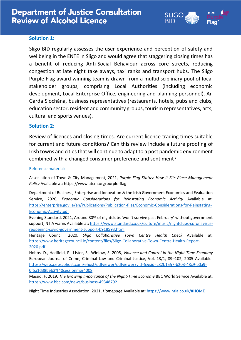

#### **Solution 1:**

Sligo BID regularly assesses the user experience and perception of safety and wellbeing in the ENTE in Sligo and would agree that staggering closing times has a benefit of reducing Anti-Social Behaviour across core streets, reducing congestion at late night take aways, taxi ranks and transport hubs. The Sligo Purple Flag award winning team is drawn from a multidisciplinary pool of local stakeholder groups, comprising Local Authorities (including economic development, Local Enterprise Office, engineering and planning personnel), An Garda Síochána, business representatives (restaurants, hotels, pubs and clubs, education sector, resident and community groups, tourism representatives, arts, cultural and sports venues).

#### **Solution 2:**

Review of licences and closing times. Are current licence trading times suitable for current and future conditions? Can this review include a future proofing of Irish towns and cities that will continue to adapt to a post pandemic environment combined with a changed consumer preference and sentiment?

#### Reference material:

Association of Town & City Management, 2021, *Purple Flag Status: How it Fits Place Management Policy* Available at: https://www.atcm.org/purple-flag

Department of Business, Enterprise and Innovation & the Irish Government Economics and Evaluation Service, 2020, *Economic Considerations for Reinstating Economic Activity* Available at: [https://enterprise.gov.ie/en/Publications/Publication-files/Economic-Considerations-for-Reinstating-](https://enterprise.gov.ie/en/Publications/Publication-files/Economic-Considerations-for-Reinstating-Economic-Activity.pdf)[Economic-Activity.pdf](https://enterprise.gov.ie/en/Publications/Publication-files/Economic-Considerations-for-Reinstating-Economic-Activity.pdf)

Evening Standard, 2021, Around 80% of nightclubs 'won't survive past February' without government support, NTIA warns Available at[: https://www.standard.co.uk/culture/music/nightclubs-coronavirus](https://www.standard.co.uk/culture/music/nightclubs-coronavirus-reopening-covid-government-support-b918593.html)[reopening-covid-government-support-b918593.html](https://www.standard.co.uk/culture/music/nightclubs-coronavirus-reopening-covid-government-support-b918593.html)

Heritage Council, 2020, *Sligo Collaborative Town Centre Health Check* Available at: [https://www.heritagecouncil.ie/content/files/Sligo-Collaborative-Town-Centre-Health-Report-](https://www.heritagecouncil.ie/content/files/Sligo-Collaborative-Town-Centre-Health-Report-2020.pdf)[2020.pdf](https://www.heritagecouncil.ie/content/files/Sligo-Collaborative-Town-Centre-Health-Report-2020.pdf)

Hobbs, D., Hadfield, P., Lister, S., Winlow, S. 2005, *Violence and Control in the Night-Time Economy* European Journal of Crime, Criminal Law and Criminal Justice, Vol. 13/1, 89–102, 2005 Available: [https://web.a.ebscohost.com/ehost/pdfviewer/pdfviewer?vid=5&sid=c82b1557-b203-48c9-b0a9-](https://web.a.ebscohost.com/ehost/pdfviewer/pdfviewer?vid=5&sid=c82b1557-b203-48c9-b0a9-0f5a1d38beb3%40sessionmgr4008) [0f5a1d38beb3%40sessionmgr4008](https://web.a.ebscohost.com/ehost/pdfviewer/pdfviewer?vid=5&sid=c82b1557-b203-48c9-b0a9-0f5a1d38beb3%40sessionmgr4008)

Masud, F. 2019, *The Growing Importance of the Night-Time Economy* BBC World Service Available at: <https://www.bbc.com/news/business-49348792>

Night Time Industries Association, 2021, *Homepage* Available at[: https://www.ntia.co.uk/#HOME](https://www.ntia.co.uk/#HOME)